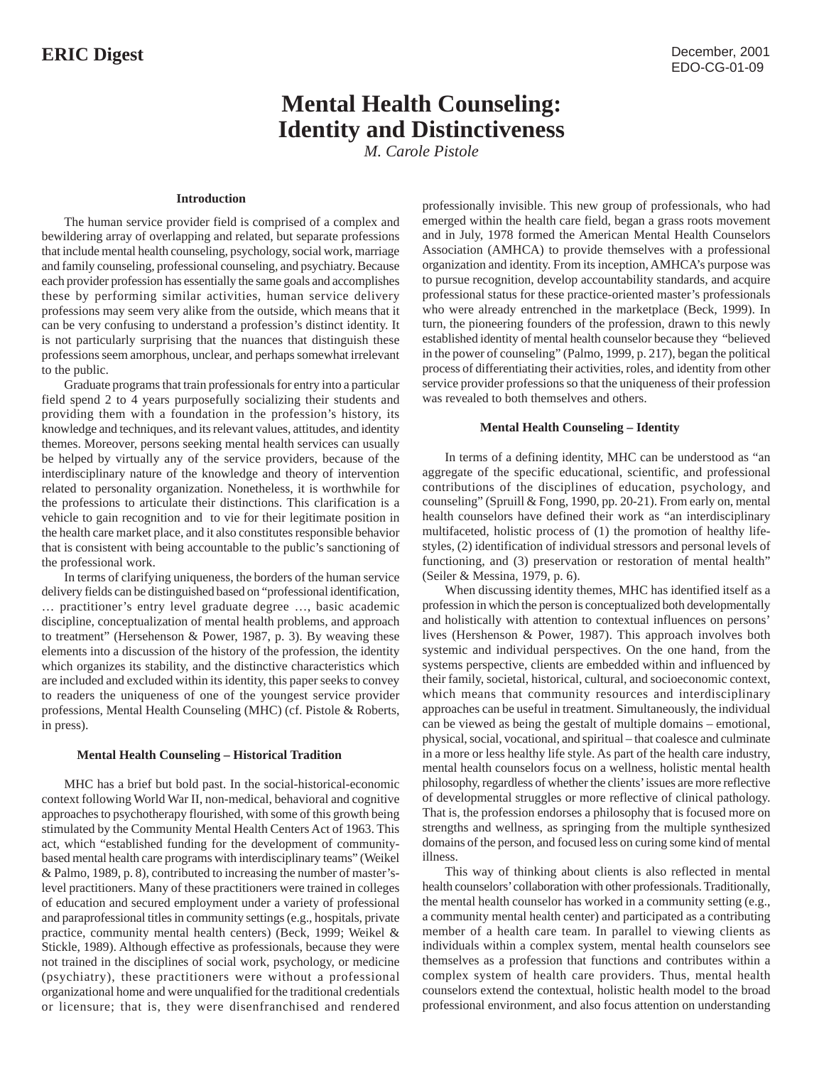# **Mental Health Counseling: Identity and Distinctiveness**

*M. Carole Pistole*

## **Introduction**

The human service provider field is comprised of a complex and bewildering array of overlapping and related, but separate professions that include mental health counseling, psychology, social work, marriage and family counseling, professional counseling, and psychiatry. Because each provider profession has essentially the same goals and accomplishes these by performing similar activities, human service delivery professions may seem very alike from the outside, which means that it can be very confusing to understand a profession's distinct identity. It is not particularly surprising that the nuances that distinguish these professions seem amorphous, unclear, and perhaps somewhat irrelevant to the public.

Graduate programs that train professionals for entry into a particular field spend 2 to 4 years purposefully socializing their students and providing them with a foundation in the profession's history, its knowledge and techniques, and its relevant values, attitudes, and identity themes. Moreover, persons seeking mental health services can usually be helped by virtually any of the service providers, because of the interdisciplinary nature of the knowledge and theory of intervention related to personality organization. Nonetheless, it is worthwhile for the professions to articulate their distinctions. This clarification is a vehicle to gain recognition and to vie for their legitimate position in the health care market place, and it also constitutes responsible behavior that is consistent with being accountable to the public's sanctioning of the professional work.

In terms of clarifying uniqueness, the borders of the human service delivery fields can be distinguished based on "professional identification, … practitioner's entry level graduate degree …, basic academic discipline, conceptualization of mental health problems, and approach to treatment" (Hersehenson & Power, 1987, p. 3). By weaving these elements into a discussion of the history of the profession, the identity which organizes its stability, and the distinctive characteristics which are included and excluded within its identity, this paper seeks to convey to readers the uniqueness of one of the youngest service provider professions, Mental Health Counseling (MHC) (cf. Pistole & Roberts, in press).

## **Mental Health Counseling – Historical Tradition**

MHC has a brief but bold past. In the social-historical-economic context following World War II, non-medical, behavioral and cognitive approaches to psychotherapy flourished, with some of this growth being stimulated by the Community Mental Health Centers Act of 1963. This act, which "established funding for the development of communitybased mental health care programs with interdisciplinary teams" (Weikel & Palmo, 1989, p. 8), contributed to increasing the number of master'slevel practitioners. Many of these practitioners were trained in colleges of education and secured employment under a variety of professional and paraprofessional titles in community settings (e.g., hospitals, private practice, community mental health centers) (Beck, 1999; Weikel & Stickle, 1989). Although effective as professionals, because they were not trained in the disciplines of social work, psychology, or medicine (psychiatry), these practitioners were without a professional organizational home and were unqualified for the traditional credentials or licensure; that is, they were disenfranchised and rendered

professionally invisible. This new group of professionals, who had emerged within the health care field, began a grass roots movement and in July, 1978 formed the American Mental Health Counselors Association (AMHCA) to provide themselves with a professional organization and identity. From its inception, AMHCA's purpose was to pursue recognition, develop accountability standards, and acquire professional status for these practice-oriented master's professionals who were already entrenched in the marketplace (Beck, 1999). In turn, the pioneering founders of the profession, drawn to this newly established identity of mental health counselor because they "believed in the power of counseling" (Palmo, 1999, p. 217), began the political process of differentiating their activities, roles, and identity from other service provider professions so that the uniqueness of their profession was revealed to both themselves and others.

### **Mental Health Counseling – Identity**

In terms of a defining identity, MHC can be understood as "an aggregate of the specific educational, scientific, and professional contributions of the disciplines of education, psychology, and counseling" (Spruill & Fong, 1990, pp. 20-21). From early on, mental health counselors have defined their work as "an interdisciplinary multifaceted, holistic process of (1) the promotion of healthy lifestyles, (2) identification of individual stressors and personal levels of functioning, and (3) preservation or restoration of mental health" (Seiler & Messina, 1979, p. 6).

When discussing identity themes, MHC has identified itself as a profession in which the person is conceptualized both developmentally and holistically with attention to contextual influences on persons' lives (Hershenson & Power, 1987). This approach involves both systemic and individual perspectives. On the one hand, from the systems perspective, clients are embedded within and influenced by their family, societal, historical, cultural, and socioeconomic context, which means that community resources and interdisciplinary approaches can be useful in treatment. Simultaneously, the individual can be viewed as being the gestalt of multiple domains – emotional, physical, social, vocational, and spiritual – that coalesce and culminate in a more or less healthy life style. As part of the health care industry, mental health counselors focus on a wellness, holistic mental health philosophy, regardless of whether the clients' issues are more reflective of developmental struggles or more reflective of clinical pathology. That is, the profession endorses a philosophy that is focused more on strengths and wellness, as springing from the multiple synthesized domains of the person, and focused less on curing some kind of mental illness.

This way of thinking about clients is also reflected in mental health counselors' collaboration with other professionals. Traditionally, the mental health counselor has worked in a community setting (e.g., a community mental health center) and participated as a contributing member of a health care team. In parallel to viewing clients as individuals within a complex system, mental health counselors see themselves as a profession that functions and contributes within a complex system of health care providers. Thus, mental health counselors extend the contextual, holistic health model to the broad professional environment, and also focus attention on understanding